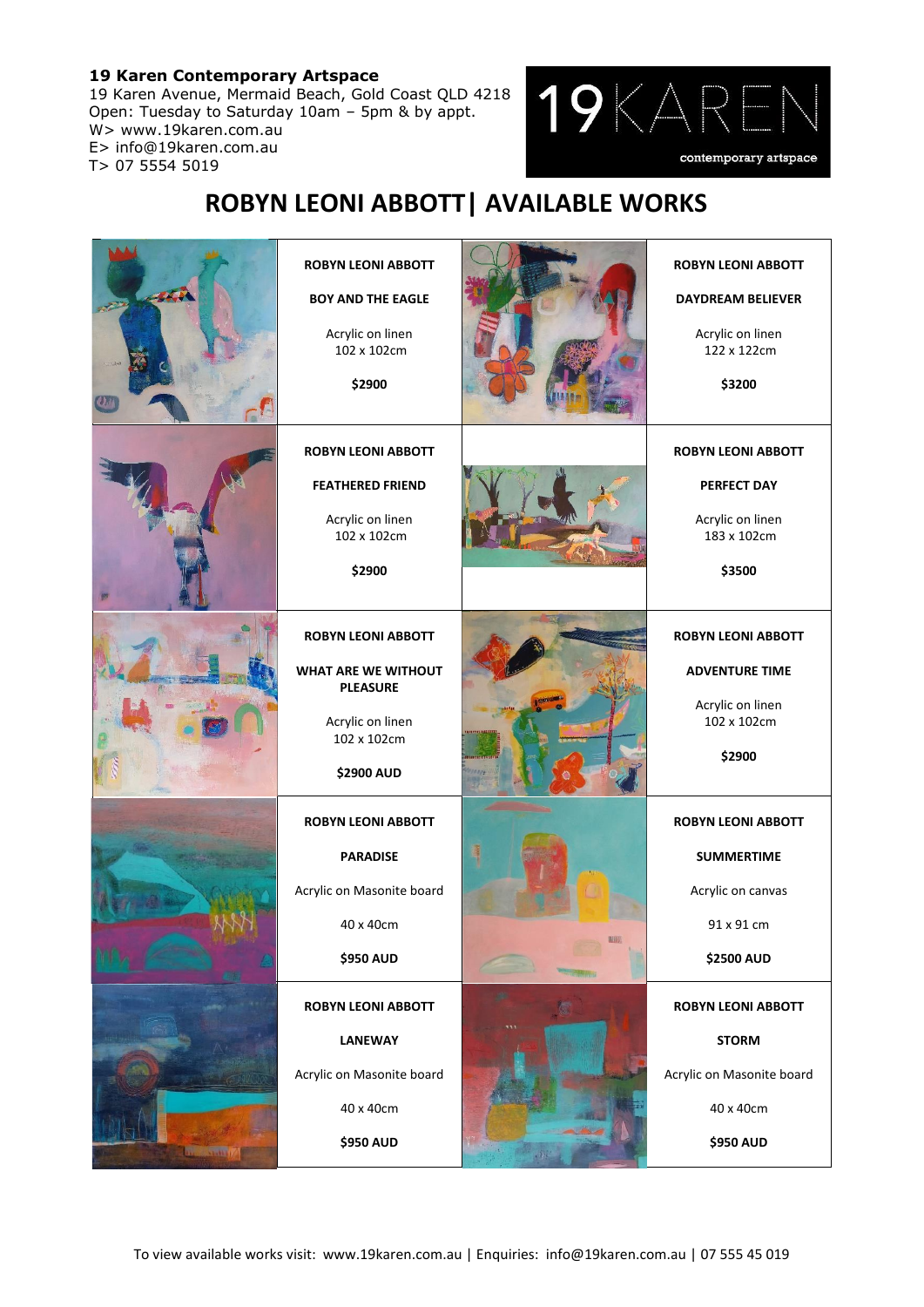## **19 Karen Contemporary Artspace**

19 Karen Avenue, Mermaid Beach, Gold Coast QLD 4218 Open: Tuesday to Saturday 10am – 5pm & by appt. W> www.19karen.com.au E> info@19karen.com.au T> 07 5554 5019



## **ROBYN LEONI ABBOTT| AVAILABLE WORKS**